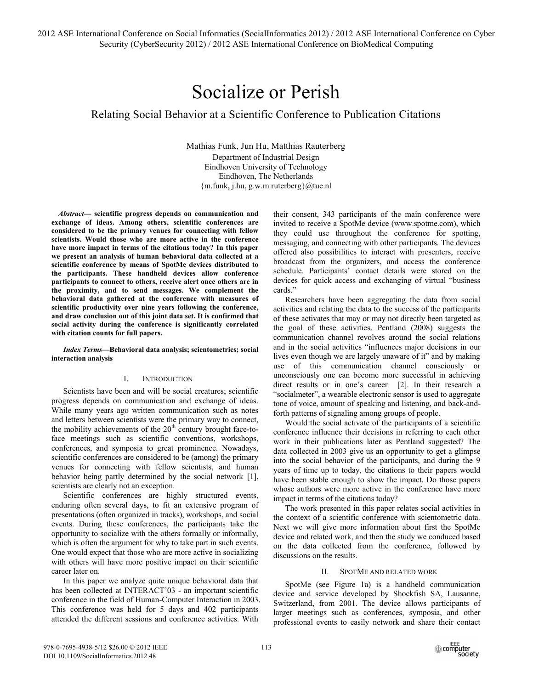# Socialize or Perish

## Relating Social Behavior at a Scientific Conference to Publication Citations

Mathias Funk, Jun Hu, Matthias Rauterberg Department of Industrial Design Eindhoven University of Technology Eindhoven, The Netherlands  ${m.funk, j.hu, g.w.m.ruterberg}(a)$ tue.nl

*Abstract***— scientific progress depends on communication and exchange of ideas. Among others, scientific conferences are considered to be the primary venues for connecting with fellow scientists. Would those who are more active in the conference have more impact in terms of the citations today? In this paper we present an analysis of human behavioral data collected at a scientific conference by means of SpotMe devices distributed to the participants. These handheld devices allow conference participants to connect to others, receive alert once others are in the proximity, and to send messages. We complement the behavioral data gathered at the conference with measures of scientific productivity over nine years following the conference, and draw conclusion out of this joint data set. It is confirmed that social activity during the conference is significantly correlated with citation counts for full papers.** 

*Index Terms***—Behavioral data analysis; scientometrics; social interaction analysis** 

## I. INTRODUCTION

Scientists have been and will be social creatures; scientific progress depends on communication and exchange of ideas. While many years ago written communication such as notes and letters between scientists were the primary way to connect, the mobility achievements of the  $20<sup>th</sup>$  century brought face-toface meetings such as scientific conventions, workshops, conferences, and symposia to great prominence. Nowadays, scientific conferences are considered to be (among) the primary venues for connecting with fellow scientists, and human behavior being partly determined by the social network [1], scientists are clearly not an exception.

Scientific conferences are highly structured events, enduring often several days, to fit an extensive program of presentations (often organized in tracks), workshops, and social events. During these conferences, the participants take the opportunity to socialize with the others formally or informally, which is often the argument for why to take part in such events. One would expect that those who are more active in socializing with others will have more positive impact on their scientific career later on.

In this paper we analyze quite unique behavioral data that has been collected at INTERACT'03 - an important scientific conference in the field of Human-Computer Interaction in 2003. This conference was held for 5 days and 402 participants attended the different sessions and conference activities. With

their consent, 343 participants of the main conference were invited to receive a SpotMe device (www.spotme.com), which they could use throughout the conference for spotting, messaging, and connecting with other participants. The devices offered also possibilities to interact with presenters, receive broadcast from the organizers, and access the conference schedule. Participants' contact details were stored on the devices for quick access and exchanging of virtual "business cards."

Researchers have been aggregating the data from social activities and relating the data to the success of the participants of these activates that may or may not directly been targeted as the goal of these activities. Pentland (2008) suggests the communication channel revolves around the social relations and in the social activities "influences major decisions in our lives even though we are largely unaware of it" and by making use of this communication channel consciously or unconsciously one can become more successful in achieving direct results or in one's career [2]. In their research a "socialmeter", a wearable electronic sensor is used to aggregate tone of voice, amount of speaking and listening, and back-andforth patterns of signaling among groups of people.

Would the social activate of the participants of a scientific conference influence their decisions in referring to each other work in their publications later as Pentland suggested? The data collected in 2003 give us an opportunity to get a glimpse into the social behavior of the participants, and during the 9 years of time up to today, the citations to their papers would have been stable enough to show the impact. Do those papers whose authors were more active in the conference have more impact in terms of the citations today?

The work presented in this paper relates social activities in the context of a scientific conference with scientometric data. Next we will give more information about first the SpotMe device and related work, and then the study we conduced based on the data collected from the conference, followed by discussions on the results.

## II. SPOTME AND RELATED WORK

SpotMe (see Figure 1a) is a handheld communication device and service developed by Shockfish SA, Lausanne, Switzerland, from 2001. The device allows participants of larger meetings such as conferences, symposia, and other professional events to easily network and share their contact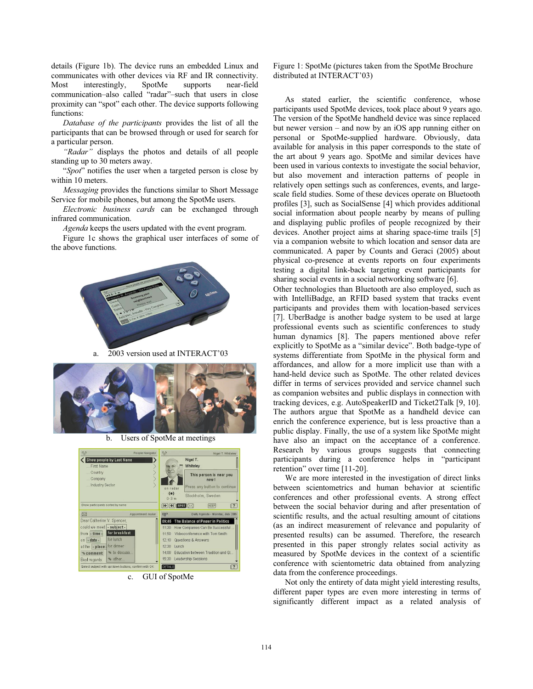details (Figure 1b). The device runs an embedded Linux and communicates with other devices via RF and IR connectivity. Most interestingly, SpotMe supports near-field communication–also called "radar"–such that users in close proximity can "spot" each other. The device supports following functions:

*Database of the participants* provides the list of all the participants that can be browsed through or used for search for a particular person.

*"Radar"* displays the photos and details of all people standing up to 30 meters away.

"*Spot*" notifies the user when a targeted person is close by within 10 meters.

*Messaging* provides the functions similar to Short Message Service for mobile phones, but among the SpotMe users.

*Electronic business cards* can be exchanged through infrared communication.

*Agenda* keeps the users updated with the event program.

Figure 1c shows the graphical user interfaces of some of the above functions.



a. 2003 version used at INTERACT'03



b. Users of SpotMe at meetings

| $\%$                                                | People Navigator                                     | $\circ$                                 | Nigel T. Whiteley                                                                                            |
|-----------------------------------------------------|------------------------------------------------------|-----------------------------------------|--------------------------------------------------------------------------------------------------------------|
| First Name<br>Country<br>Company<br>Industry Sector | Show people by Last Name                             | on radar<br>(•)<br>$n-3$ m              | Nigel T.<br>Whiteley<br>This person is near you<br>now!<br>Press any button to continue<br>Stockholm, Sweden |
| Show participants sorted by name                    |                                                      | $F$ $\rightarrow$ $F$ $\rightarrow$ $K$ | KEEP<br>$\left  \cdot \right\rangle$                                                                         |
| $\boxtimes$                                         | Appointment maker                                    | 甲                                       | Daily Agenda - Monday, July 29th                                                                             |
| Dear Catherine V. Spencer,                          |                                                      | 09:45                                   | The Balance of Power in Politics                                                                             |
| could we meet  - subject -                          |                                                      | 11:30                                   | How Companies Can Be Successful                                                                              |
| from - time -                                       | for breakfast                                        | 11:50                                   | Videoconference with Tom Smith                                                                               |
| on - date -                                         | for lunch                                            | 12:10                                   | Questions & Answers                                                                                          |
| at the - place                                      | I for dinner                                         | 12:30<br>Lunch                          |                                                                                                              |
| <b><i><u>®</u></i></b> comment                      | to discuss                                           | 14 <sup>°</sup>                         | Education between Tradition and Gl                                                                           |
| Best regards.                                       | other                                                | 15:30                                   | Leadership Sessions                                                                                          |
|                                                     | Select subject with up/down buttons, confirm with OK | DETAILS                                 | $\overline{?}$                                                                                               |

c. GUI of SpotMe

Figure 1: SpotMe (pictures taken from the SpotMe Brochure distributed at INTERACT'03)

As stated earlier, the scientific conference, whose participants used SpotMe devices, took place about 9 years ago. The version of the SpotMe handheld device was since replaced but newer version – and now by an iOS app running either on personal or SpotMe-supplied hardware. Obviously, data available for analysis in this paper corresponds to the state of the art about 9 years ago. SpotMe and similar devices have been used in various contexts to investigate the social behavior, but also movement and interaction patterns of people in relatively open settings such as conferences, events, and largescale field studies. Some of these devices operate on Bluetooth profiles [3], such as SocialSense [4] which provides additional social information about people nearby by means of pulling and displaying public profiles of people recognized by their devices. Another project aims at sharing space-time trails [5] via a companion website to which location and sensor data are communicated. A paper by Counts and Geraci (2005) about physical co-presence at events reports on four experiments testing a digital link-back targeting event participants for sharing social events in a social networking software [6].

Other technologies than Bluetooth are also employed, such as with IntelliBadge, an RFID based system that tracks event participants and provides them with location-based services [7]. UberBadge is another badge system to be used at large professional events such as scientific conferences to study human dynamics [8]. The papers mentioned above refer explicitly to SpotMe as a "similar device". Both badge-type of systems differentiate from SpotMe in the physical form and affordances, and allow for a more implicit use than with a hand-held device such as SpotMe. The other related devices differ in terms of services provided and service channel such as companion websites and public displays in connection with tracking devices, e.g. AutoSpeakerID and Ticket2Talk [9, 10]. The authors argue that SpotMe as a handheld device can enrich the conference experience, but is less proactive than a public display. Finally, the use of a system like SpotMe might have also an impact on the acceptance of a conference. Research by various groups suggests that connecting participants during a conference helps in "participant retention" over time [11-20].

We are more interested in the investigation of direct links between scientometrics and human behavior at scientific conferences and other professional events. A strong effect between the social behavior during and after presentation of scientific results, and the actual resulting amount of citations (as an indirect measurement of relevance and popularity of presented results) can be assumed. Therefore, the research presented in this paper strongly relates social activity as measured by SpotMe devices in the context of a scientific conference with scientometric data obtained from analyzing data from the conference proceedings.

Not only the entirety of data might yield interesting results, different paper types are even more interesting in terms of significantly different impact as a related analysis of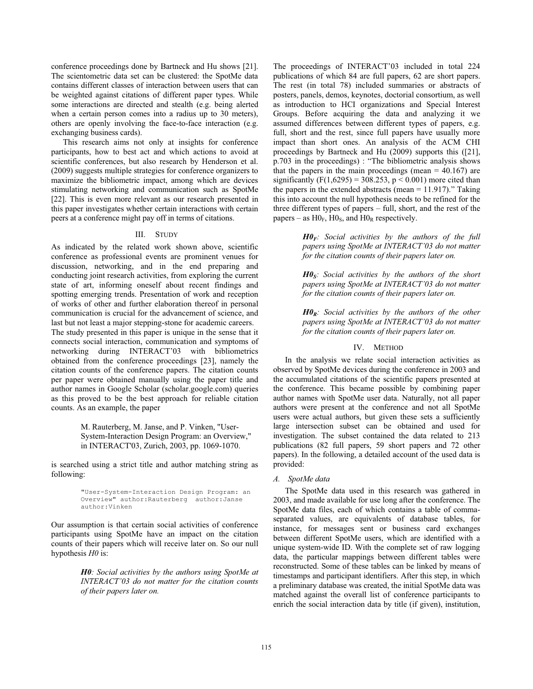conference proceedings done by Bartneck and Hu shows [21]. The scientometric data set can be clustered: the SpotMe data contains different classes of interaction between users that can be weighted against citations of different paper types. While some interactions are directed and stealth (e.g. being alerted when a certain person comes into a radius up to 30 meters), others are openly involving the face-to-face interaction (e.g. exchanging business cards).

This research aims not only at insights for conference participants, how to best act and which actions to avoid at scientific conferences, but also research by Henderson et al. (2009) suggests multiple strategies for conference organizers to maximize the bibliometric impact, among which are devices stimulating networking and communication such as SpotMe [22]. This is even more relevant as our research presented in this paper investigates whether certain interactions with certain peers at a conference might pay off in terms of citations.

#### III. STUDY

As indicated by the related work shown above, scientific conference as professional events are prominent venues for discussion, networking, and in the end preparing and conducting joint research activities, from exploring the current state of art, informing oneself about recent findings and spotting emerging trends. Presentation of work and reception of works of other and further elaboration thereof in personal communication is crucial for the advancement of science, and last but not least a major stepping-stone for academic careers.

The study presented in this paper is unique in the sense that it connects social interaction, communication and symptoms of networking during INTERACT'03 with bibliometrics obtained from the conference proceedings [23], namely the citation counts of the conference papers. The citation counts per paper were obtained manually using the paper title and author names in Google Scholar (scholar.google.com) queries as this proved to be the best approach for reliable citation counts. As an example, the paper

> M. Rauterberg, M. Janse, and P. Vinken, "User-System-Interaction Design Program: an Overview," in INTERACT'03, Zurich, 2003, pp. 1069-1070.

is searched using a strict title and author matching string as following:

> "User-System-Interaction Design Program: an overven author:Rauterberg author:Vinken

Our assumption is that certain social activities of conference participants using SpotMe have an impact on the citation counts of their papers which will receive later on. So our null hypothesis *H0* is:

> *H0: Social activities by the authors using SpotMe at INTERACT'03 do not matter for the citation counts of their papers later on.*

The proceedings of INTERACT'03 included in total 224 publications of which 84 are full papers, 62 are short papers. The rest (in total 78) included summaries or abstracts of posters, panels, demos, keynotes, doctorial consortium, as well as introduction to HCI organizations and Special Interest Groups. Before acquiring the data and analyzing it we assumed differences between different types of papers, e.g. full, short and the rest, since full papers have usually more impact than short ones. An analysis of the ACM CHI proceedings by Bartneck and Hu (2009) supports this ([21], p.703 in the proceedings) : "The bibliometric analysis shows that the papers in the main proceedings (mean  $= 40.167$ ) are significantly (F(1,6295) = 308.253,  $p < 0.001$ ) more cited than the papers in the extended abstracts (mean  $= 11.917$ )." Taking this into account the null hypothesis needs to be refined for the three different types of papers – full, short, and the rest of the papers – as  $H0_F$ ,  $H0_S$ , and  $H0_R$  respectively.

> *H0F: Social activities by the authors of the full papers using SpotMe at INTERACT'03 do not matter for the citation counts of their papers later on.*

> *H0S: Social activities by the authors of the short papers using SpotMe at INTERACT'03 do not matter for the citation counts of their papers later on.*

> *H0R: Social activities by the authors of the other papers using SpotMe at INTERACT'03 do not matter for the citation counts of their papers later on.*

## IV. METHOD

In the analysis we relate social interaction activities as observed by SpotMe devices during the conference in 2003 and the accumulated citations of the scientific papers presented at the conference. This became possible by combining paper author names with SpotMe user data. Naturally, not all paper authors were present at the conference and not all SpotMe users were actual authors, but given these sets a sufficiently large intersection subset can be obtained and used for investigation. The subset contained the data related to 213 publications (82 full papers, 59 short papers and 72 other papers). In the following, a detailed account of the used data is provided:

#### *A. SpotMe data*

The SpotMe data used in this research was gathered in 2003, and made available for use long after the conference. The SpotMe data files, each of which contains a table of commaseparated values, are equivalents of database tables, for instance, for messages sent or business card exchanges between different SpotMe users, which are identified with a unique system-wide ID. With the complete set of raw logging data, the particular mappings between different tables were reconstructed. Some of these tables can be linked by means of timestamps and participant identifiers. After this step, in which a preliminary database was created, the initial SpotMe data was matched against the overall list of conference participants to enrich the social interaction data by title (if given), institution,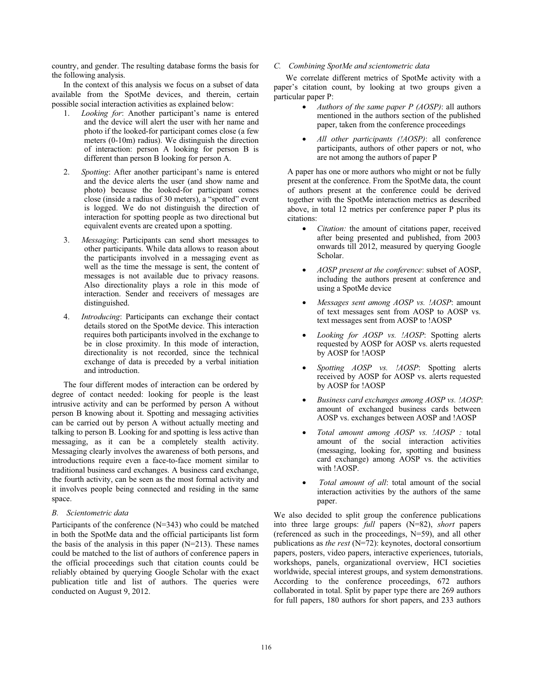country, and gender. The resulting database forms the basis for the following analysis.

In the context of this analysis we focus on a subset of data available from the SpotMe devices, and therein, certain possible social interaction activities as explained below:

- 1. *Looking for*: Another participant's name is entered and the device will alert the user with her name and photo if the looked-for participant comes close (a few meters (0-10m) radius). We distinguish the direction of interaction: person A looking for person B is different than person B looking for person A.
- 2. *Spotting*: After another participant's name is entered and the device alerts the user (and show name and photo) because the looked-for participant comes close (inside a radius of 30 meters), a "spotted" event is logged. We do not distinguish the direction of interaction for spotting people as two directional but equivalent events are created upon a spotting.
- 3. *Messaging*: Participants can send short messages to other participants. While data allows to reason about the participants involved in a messaging event as well as the time the message is sent, the content of messages is not available due to privacy reasons. Also directionality plays a role in this mode of interaction. Sender and receivers of messages are distinguished.
- 4. *Introducing*: Participants can exchange their contact details stored on the SpotMe device. This interaction requires both participants involved in the exchange to be in close proximity. In this mode of interaction, directionality is not recorded, since the technical exchange of data is preceded by a verbal initiation and introduction.

The four different modes of interaction can be ordered by degree of contact needed: looking for people is the least intrusive activity and can be performed by person A without person B knowing about it. Spotting and messaging activities can be carried out by person A without actually meeting and talking to person B. Looking for and spotting is less active than messaging, as it can be a completely stealth activity. Messaging clearly involves the awareness of both persons, and introductions require even a face-to-face moment similar to traditional business card exchanges. A business card exchange, the fourth activity, can be seen as the most formal activity and it involves people being connected and residing in the same space.

## *B. Scientometric data*

Participants of the conference (N=343) who could be matched in both the SpotMe data and the official participants list form the basis of the analysis in this paper  $(N=213)$ . These names could be matched to the list of authors of conference papers in the official proceedings such that citation counts could be reliably obtained by querying Google Scholar with the exact publication title and list of authors. The queries were conducted on August 9, 2012.

## *C. Combining SpotMe and scientometric data*

We correlate different metrics of SpotMe activity with a paper's citation count, by looking at two groups given a particular paper P:

- - *Authors of the same paper P (AOSP)*: all authors mentioned in the authors section of the published paper, taken from the conference proceedings
- - *All other participants (!AOSP)*: all conference participants, authors of other papers or not, who are not among the authors of paper P

A paper has one or more authors who might or not be fully present at the conference. From the SpotMe data, the count of authors present at the conference could be derived together with the SpotMe interaction metrics as described above, in total 12 metrics per conference paper P plus its citations:

- - *Citation:* the amount of citations paper, received after being presented and published, from 2003 onwards till 2012, measured by querying Google Scholar.
- - *AOSP present at the conference*: subset of AOSP, including the authors present at conference and using a SpotMe device
- - *Messages sent among AOSP vs. !AOSP*: amount of text messages sent from AOSP to AOSP vs. text messages sent from AOSP to !AOSP
- - *Looking for AOSP vs. !AOSP*: Spotting alerts requested by AOSP for AOSP vs. alerts requested by AOSP for !AOSP
- - *Spotting AOSP vs. !AOSP*: Spotting alerts received by AOSP for AOSP vs. alerts requested by AOSP for !AOSP
- $\bullet$  *Business card exchanges among AOSP vs. !AOSP*: amount of exchanged business cards between AOSP vs. exchanges between AOSP and !AOSP
- - *Total amount among AOSP vs. !AOSP :* total amount of the social interaction activities (messaging, looking for, spotting and business card exchange) among AOSP vs. the activities with !AOSP.
- - *Total amount of all*: total amount of the social interaction activities by the authors of the same paper.

We also decided to split group the conference publications into three large groups: *full* papers (N=82), *short* papers (referenced as such in the proceedings, N=59), and all other publications as *the rest* (N=72): keynotes, doctoral consortium papers, posters, video papers, interactive experiences, tutorials, workshops, panels, organizational overview, HCI societies worldwide, special interest groups, and system demonstrations. According to the conference proceedings, 672 authors collaborated in total. Split by paper type there are 269 authors for full papers, 180 authors for short papers, and 233 authors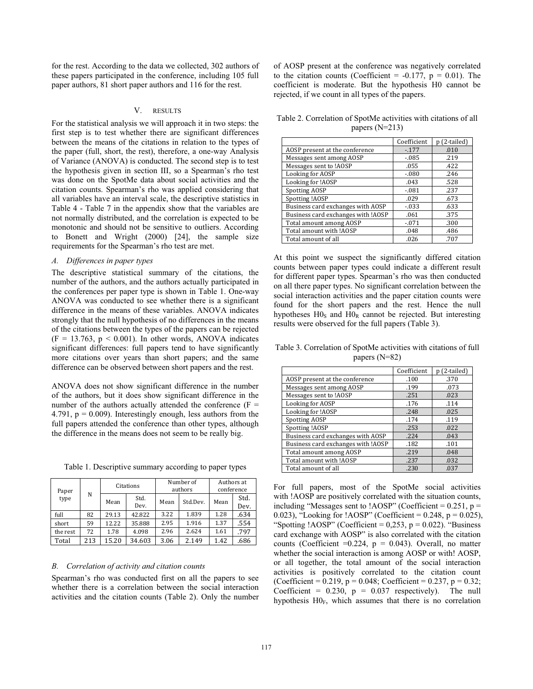for the rest. According to the data we collected, 302 authors of these papers participated in the conference, including 105 full paper authors, 81 short paper authors and 116 for the rest.

## V. RESULTS

For the statistical analysis we will approach it in two steps: the first step is to test whether there are significant differences between the means of the citations in relation to the types of the paper (full, short, the rest), therefore, a one-way Analysis of Variance (ANOVA) is conducted. The second step is to test the hypothesis given in section III, so a Spearman's rho test was done on the SpotMe data about social activities and the citation counts. Spearman's rho was applied considering that all variables have an interval scale, the descriptive statistics in Table 4 - Table 7 in the appendix show that the variables are not normally distributed, and the correlation is expected to be monotonic and should not be sensitive to outliers. According to Bonett and Wright (2000) [24], the sample size requirements for the Spearman's rho test are met.

#### *A. Differences in paper types*

The descriptive statistical summary of the citations, the number of the authors, and the authors actually participated in the conferences per paper type is shown in Table 1. One-way ANOVA was conducted to see whether there is a significant difference in the means of these variables. ANOVA indicates strongly that the null hypothesis of no differences in the means of the citations between the types of the papers can be rejected  $(F = 13.763, p < 0.001)$ . In other words, ANOVA indicates significant differences: full papers tend to have significantly more citations over years than short papers; and the same difference can be observed between short papers and the rest.

ANOVA does not show significant difference in the number of the authors, but it does show significant difference in the number of the authors actually attended the conference  $(F =$ 4.791,  $p = 0.009$ ). Interestingly enough, less authors from the full papers attended the conference than other types, although the difference in the means does not seem to be really big.

Table 1. Descriptive summary according to paper types

| Paper     |     |       | Citations    |      | Number of<br>authors | Authors at<br>conference |              |
|-----------|-----|-------|--------------|------|----------------------|--------------------------|--------------|
| N<br>type |     | Mean  | Std.<br>Dev. | Mean | Std.Dev.             | Mean                     | Std.<br>Dev. |
| full      | 82  | 29.13 | 42.822       |      | 1.839                | 1.28                     | .634         |
| short     | 59  | 12.22 | 35.888       | 2.95 | 1.916                | 1.37                     | .554         |
| the rest  | 72  | 1.78  | 4.098        | 2.96 | 2.624                | 1.61                     | .797         |
| Total     | 213 | 15.20 | 34.603       | 3.06 | 2.149                | 1.42                     | .686         |

#### *B. Correlation of activity and citation counts*

Spearman's rho was conducted first on all the papers to see whether there is a correlation between the social interaction activities and the citation counts (Table 2). Only the number of AOSP present at the conference was negatively correlated to the citation counts (Coefficient =  $-0.177$ ,  $p = 0.01$ ). The coefficient is moderate. But the hypothesis H0 cannot be rejected, if we count in all types of the papers.

Table 2. Correlation of SpotMe activities with citations of all papers (N=213)

|                                    | Coefficient | p (2-tailed) |
|------------------------------------|-------------|--------------|
| AOSP present at the conference     | $-177$      | .010         |
| Messages sent among AOSP           | $-0.085$    | .219         |
| Messages sent to !AOSP             | .055        | .422         |
| Looking for AOSP                   | $-.080$     | .246         |
| Looking for !AOSP                  | .043        | .528         |
| <b>Spotting AOSP</b>               | $-.081$     | .237         |
| Spotting !AOSP                     | .029        | .673         |
| Business card exchanges with AOSP  | $-.033$     | .633         |
| Business card exchanges with !AOSP | .061        | .375         |
| Total amount among AOSP            | $-.071$     | .300         |
| Total amount with !AOSP            | .048        | .486         |
| Total amount of all                | .026        | .707         |

At this point we suspect the significantly differed citation counts between paper types could indicate a different result for different paper types. Spearman's rho was then conducted on all there paper types. No significant correlation between the social interaction activities and the paper citation counts were found for the short papers and the rest. Hence the null hypotheses  $H_0$ <sub>s</sub> and  $H_0$ <sub>R</sub> cannot be rejected. But interesting results were observed for the full papers (Table 3).

Table 3. Correlation of SpotMe activities with citations of full papers (N=82)

|                                    | Coefficient | p (2-tailed) |
|------------------------------------|-------------|--------------|
| AOSP present at the conference     | .100        | .370         |
| Messages sent among AOSP           | .199        | .073         |
| Messages sent to !AOSP             | .251        | .023         |
| Looking for AOSP                   | .176        | .114         |
| Looking for !AOSP                  | .248        | .025         |
| <b>Spotting AOSP</b>               | .174        | .119         |
| Spotting !AOSP                     | .253        | .022         |
| Business card exchanges with AOSP  | .224        | .043         |
| Business card exchanges with !AOSP | .182        | .101         |
| Total amount among AOSP            | .219        | .048         |
| Total amount with !AOSP            | .237        | .032         |
| Total amount of all                | .230        | .037         |

For full papers, most of the SpotMe social activities with !AOSP are positively correlated with the situation counts, including "Messages sent to !AOSP" (Coefficient =  $0.251$ , p = 0.023), "Looking for !AOSP" (Coefficient =  $0.248$ , p =  $0.025$ ), "Spotting ! $AOSP$ " (Coefficient = 0,253, p = 0.022). "Business" card exchange with AOSP" is also correlated with the citation counts (Coefficient =0.224,  $p = 0.043$ ). Overall, no matter whether the social interaction is among AOSP or with! AOSP, or all together, the total amount of the social interaction activities is positively correlated to the citation count (Coefficient =  $0.219$ ,  $p = 0.048$ ; Coefficient =  $0.237$ ,  $p = 0.32$ ; Coefficient =  $0.230$ ,  $p = 0.037$  respectively). The null hypothesis  $HO_F$ , which assumes that there is no correlation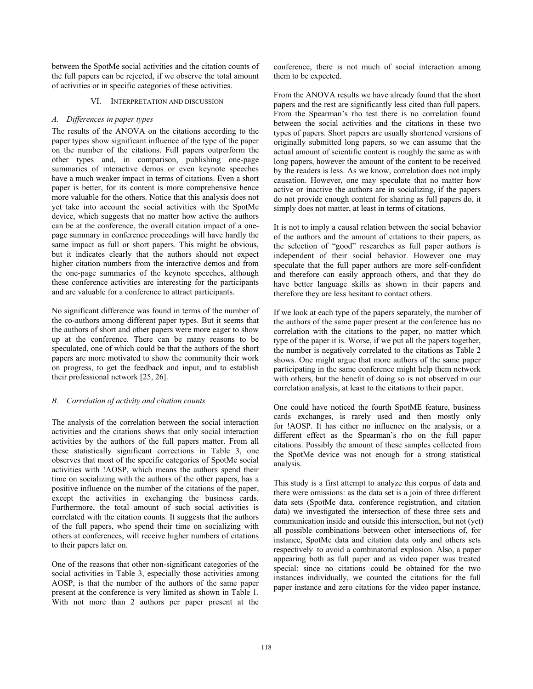between the SpotMe social activities and the citation counts of the full papers can be rejected, if we observe the total amount of activities or in specific categories of these activities.

#### VI. INTERPRETATION AND DISCUSSION

## *A. Differences in paper types*

The results of the ANOVA on the citations according to the paper types show significant influence of the type of the paper on the number of the citations. Full papers outperform the other types and, in comparison, publishing one-page summaries of interactive demos or even keynote speeches have a much weaker impact in terms of citations. Even a short paper is better, for its content is more comprehensive hence more valuable for the others. Notice that this analysis does not yet take into account the social activities with the SpotMe device, which suggests that no matter how active the authors can be at the conference, the overall citation impact of a onepage summary in conference proceedings will have hardly the same impact as full or short papers. This might be obvious, but it indicates clearly that the authors should not expect higher citation numbers from the interactive demos and from the one-page summaries of the keynote speeches, although these conference activities are interesting for the participants and are valuable for a conference to attract participants.

No significant difference was found in terms of the number of the co-authors among different paper types. But it seems that the authors of short and other papers were more eager to show up at the conference. There can be many reasons to be speculated, one of which could be that the authors of the short papers are more motivated to show the community their work on progress, to get the feedback and input, and to establish their professional network [25, 26].

## *B. Correlation of activity and citation counts*

The analysis of the correlation between the social interaction activities and the citations shows that only social interaction activities by the authors of the full papers matter. From all these statistically significant corrections in Table 3, one observes that most of the specific categories of SpotMe social activities with !AOSP, which means the authors spend their time on socializing with the authors of the other papers, has a positive influence on the number of the citations of the paper, except the activities in exchanging the business cards. Furthermore, the total amount of such social activities is correlated with the citation counts. It suggests that the authors of the full papers, who spend their time on socializing with others at conferences, will receive higher numbers of citations to their papers later on.

One of the reasons that other non-significant categories of the social activities in Table 3, especially those activities among AOSP, is that the number of the authors of the same paper present at the conference is very limited as shown in Table 1. With not more than 2 authors per paper present at the

conference, there is not much of social interaction among them to be expected.

From the ANOVA results we have already found that the short papers and the rest are significantly less cited than full papers. From the Spearman's rho test there is no correlation found between the social activities and the citations in these two types of papers. Short papers are usually shortened versions of originally submitted long papers, so we can assume that the actual amount of scientific content is roughly the same as with long papers, however the amount of the content to be received by the readers is less. As we know, correlation does not imply causation. However, one may speculate that no matter how active or inactive the authors are in socializing, if the papers do not provide enough content for sharing as full papers do, it simply does not matter, at least in terms of citations.

It is not to imply a causal relation between the social behavior of the authors and the amount of citations to their papers, as the selection of "good" researches as full paper authors is independent of their social behavior. However one may speculate that the full paper authors are more self-confident and therefore can easily approach others, and that they do have better language skills as shown in their papers and therefore they are less hesitant to contact others.

If we look at each type of the papers separately, the number of the authors of the same paper present at the conference has no correlation with the citations to the paper, no matter which type of the paper it is. Worse, if we put all the papers together, the number is negatively correlated to the citations as Table 2 shows. One might argue that more authors of the same paper participating in the same conference might help them network with others, but the benefit of doing so is not observed in our correlation analysis, at least to the citations to their paper.

One could have noticed the fourth SpotME feature, business cards exchanges, is rarely used and then mostly only for !AOSP. It has either no influence on the analysis, or a different effect as the Spearman's rho on the full paper citations. Possibly the amount of these samples collected from the SpotMe device was not enough for a strong statistical analysis.

This study is a first attempt to analyze this corpus of data and there were omissions: as the data set is a join of three different data sets (SpotMe data, conference registration, and citation data) we investigated the intersection of these three sets and communication inside and outside this intersection, but not (yet) all possible combinations between other intersections of, for instance, SpotMe data and citation data only and others sets respectively–to avoid a combinatorial explosion. Also, a paper appearing both as full paper and as video paper was treated special: since no citations could be obtained for the two instances individually, we counted the citations for the full paper instance and zero citations for the video paper instance,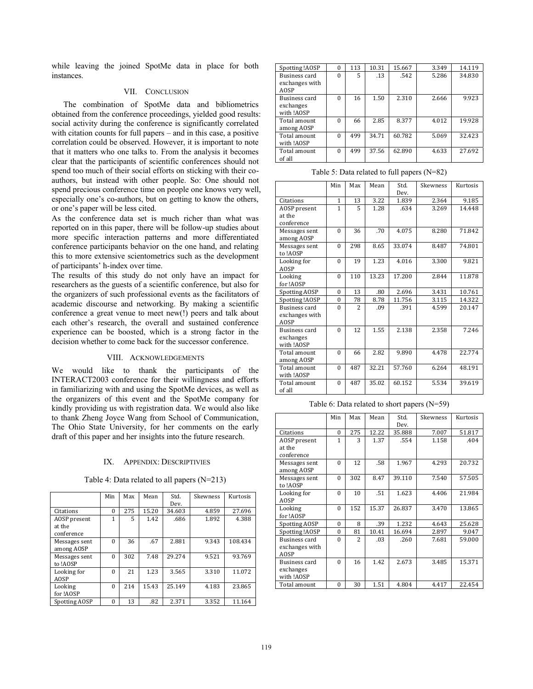while leaving the joined SpotMe data in place for both instances.

## VII. CONCLUSION

The combination of SpotMe data and bibliometrics obtained from the conference proceedings, yielded good results: social activity during the conference is significantly correlated with citation counts for full papers – and in this case, a positive correlation could be observed. However, it is important to note that it matters who one talks to. From the analysis it becomes clear that the participants of scientific conferences should not spend too much of their social efforts on sticking with their coauthors, but instead with other people. So: One should not spend precious conference time on people one knows very well, especially one's co-authors, but on getting to know the others, or one's paper will be less cited.

As the conference data set is much richer than what was reported on in this paper, there will be follow-up studies about more specific interaction patterns and more differentiated conference participants behavior on the one hand, and relating this to more extensive scientometrics such as the development of participants' h-index over time.

The results of this study do not only have an impact for researchers as the guests of a scientific conference, but also for the organizers of such professional events as the facilitators of academic discourse and networking. By making a scientific conference a great venue to meet new(!) peers and talk about each other's research, the overall and sustained conference experience can be boosted, which is a strong factor in the decision whether to come back for the successor conference.

#### VIII. ACKNOWLEDGEMENTS

We would like to thank the participants of the INTERACT2003 conference for their willingness and efforts in familiarizing with and using the SpotMe devices, as well as the organizers of this event and the SpotMe company for kindly providing us with registration data. We would also like to thank Zheng Joyce Wang from School of Communication, The Ohio State University, for her comments on the early draft of this paper and her insights into the future research.

#### IX. APPENDIX: DESCRIPTIVIES

Table 4: Data related to all papers (N=213)

|                                      | Min      | Max | Mean  | Std.<br>Dev. | Skewness | Kurtosis |
|--------------------------------------|----------|-----|-------|--------------|----------|----------|
| Citations                            | $\Omega$ | 275 | 15.20 | 34.603       | 4.859    | 27.696   |
| AOSP present<br>at the<br>conference | 1        | 5   | 1.42  | .686         | 1.892    | 4.388    |
| Messages sent<br>among AOSP          | $\Omega$ | 36  | .67   | 2.881        | 9.343    | 108.434  |
| Messages sent<br>to !AOSP            | $\Omega$ | 302 | 7.48  | 29.274       | 9.521    | 93.769   |
| Looking for<br><b>AOSP</b>           | $\Omega$ | 21  | 1.23  | 3.565        | 3.310    | 11.072   |
| Looking<br>for !AOSP                 | $\theta$ | 214 | 15.43 | 25.149       | 4.183    | 23.865   |
| Spotting AOSP                        | $\theta$ | 13  | .82   | 2.371        | 3.352    | 11.164   |

| Spotting !AOSP                           | $\Omega$ | 113 | 10.31 | 15.667 | 3.349 | 14.119 |
|------------------------------------------|----------|-----|-------|--------|-------|--------|
| Business card<br>exchanges with          | $\Omega$ | 5   | .13   | .542   | 5.286 | 34.830 |
| <b>AOSP</b>                              |          |     |       |        |       |        |
| Business card<br>exchanges<br>with !AOSP | $\Omega$ | 16  | 1.50  | 2.310  | 2.666 | 9.923  |
| Total amount<br>among AOSP               | $\Omega$ | 66  | 2.85  | 8.377  | 4.012 | 19.928 |
| Total amount<br>with !AOSP               | $\Omega$ | 499 | 34.71 | 60.782 | 5.069 | 32.423 |
| Total amount<br>of all                   | $\Omega$ | 499 | 37.56 | 62.890 | 4.633 | 27.692 |

| Table 5: Data related to full papers $(N=82)$ |  |  |  |
|-----------------------------------------------|--|--|--|
|-----------------------------------------------|--|--|--|

|                      | Min          | Max                     | Mean  | Std.   | Skewness | Kurtosis |
|----------------------|--------------|-------------------------|-------|--------|----------|----------|
|                      |              |                         |       | Dev.   |          |          |
| Citations            | $\mathbf{1}$ | 13                      | 3.22  | 1.839  | 2.364    | 9.185    |
| AOSP present         | $\mathbf{1}$ | 5                       | 1.28  | .634   | 3.269    | 14.448   |
| at the               |              |                         |       |        |          |          |
| conference           |              |                         |       |        |          |          |
| Messages sent        | $\theta$     | 36                      | .70   | 4.075  | 8.280    | 71.842   |
| among AOSP           |              |                         |       |        |          |          |
| Messages sent        | $\theta$     | 298                     | 8.65  | 33.074 | 8.487    | 74.801   |
| to !AOSP             |              |                         |       |        |          |          |
| Looking for          | $\theta$     | 19                      | 1.23  | 4.016  | 3.300    | 9.821    |
| <b>AOSP</b>          |              |                         |       |        |          |          |
| Looking              | $\theta$     | 110                     | 13.23 | 17.200 | 2.844    | 11.878   |
| for !AOSP            |              |                         |       |        |          |          |
| Spotting AOSP        | $\theta$     | 13                      | .80   | 2.696  | 3.431    | 10.761   |
| Spotting !AOSP       | $\theta$     | 78                      | 8.78  | 11.756 | 3.115    | 14.322   |
| <b>Business card</b> | $\theta$     | $\overline{\mathbf{c}}$ | .09   | .391   | 4.599    | 20.147   |
| exchanges with       |              |                         |       |        |          |          |
| <b>AOSP</b>          |              |                         |       |        |          |          |
| Business card        | $\theta$     | 12                      | 1.55  | 2.138  | 2.358    | 7.246    |
| exchanges            |              |                         |       |        |          |          |
| with !AOSP           |              |                         |       |        |          |          |
| Total amount         | $\theta$     | 66                      | 2.82  | 9.890  | 4.478    | 22.774   |
| among AOSP           |              |                         |       |        |          |          |
| Total amount         | $\theta$     | 487                     | 32.21 | 57.760 | 6.264    | 48.191   |
| with !AOSP           |              |                         |       |        |          |          |
| Total amount         | $\theta$     | 487                     | 35.02 | 60.152 | 5.534    | 39.619   |
| of all               |              |                         |       |        |          |          |

Table 6: Data related to short papers (N=59)

|                | Min      | Max | Mean  | Std.   | Skewness | Kurtosis |
|----------------|----------|-----|-------|--------|----------|----------|
|                |          |     |       | Dev.   |          |          |
| Citations      | $\theta$ | 275 | 12.22 | 35.888 | 7.007    | 51.817   |
| AOSP present   | 1        | 3   | 1.37  | .554   | 1.158    | .404     |
| at the         |          |     |       |        |          |          |
| conference     |          |     |       |        |          |          |
| Messages sent  | $\Omega$ | 12  | .58   | 1.967  | 4.293    | 20.732   |
| among AOSP     |          |     |       |        |          |          |
| Messages sent  | $\Omega$ | 302 | 8.47  | 39.110 | 7.540    | 57.505   |
| to !AOSP       |          |     |       |        |          |          |
| Looking for    | $\Omega$ | 10  | .51   | 1.623  | 4.406    | 21.984   |
| <b>AOSP</b>    |          |     |       |        |          |          |
| Looking        | $\Omega$ | 152 | 15.37 | 26.837 | 3.470    | 13.865   |
| for !AOSP      |          |     |       |        |          |          |
| Spotting AOSP  | $\Omega$ | 8   | .39   | 1.232  | 4.643    | 25.628   |
| Spotting !AOSP | $\theta$ | 81  | 10.41 | 16.694 | 2.897    | 9.047    |
| Business card  | $\Omega$ | 2   | .03   | .260   | 7.681    | 59.000   |
| exchanges with |          |     |       |        |          |          |
| <b>AOSP</b>    |          |     |       |        |          |          |
| Business card  | $\Omega$ | 16  | 1.42  | 2.673  | 3.485    | 15.371   |
| exchanges      |          |     |       |        |          |          |
| with !AOSP     |          |     |       |        |          |          |
| Total amount   | $\theta$ | 30  | 1.51  | 4.804  | 4.417    | 22.454   |